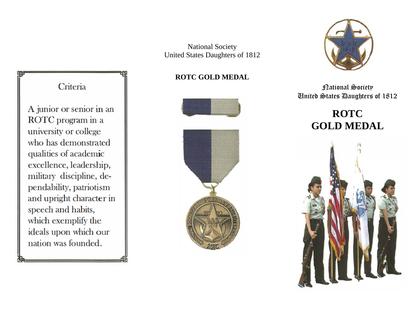National Society United States Daughters of 1812

## **ROTC GOLD MEDAL**





National Society United States Daughters of 1812

# **ROTC GOLD MEDAL**



## Criteria

A junior or senior in an ROTC program in a university or college who has demonstrated qualities of academic excellence, leadership, military discipline, dependability, patriotism and upright character in speech and habits, which exemplify the ideals upon which our nation was founded.